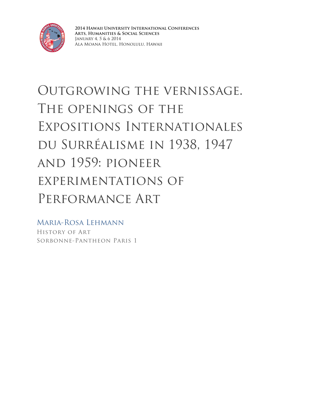

**2014 Hawaii University International Conferences Arts, Humanities & Social Sciences** January 4, 5 & 6 2014 Ala Moana Hotel, Honolulu, Hawaii

# Outgrowing the vernissage. The openings of the Expositions Internationales du Surréalisme in 1938, 1947 and 1959: pioneer experimentations of Performance Art

Maria-Rosa Lehmann History of Art Sorbonne-Pantheon Paris 1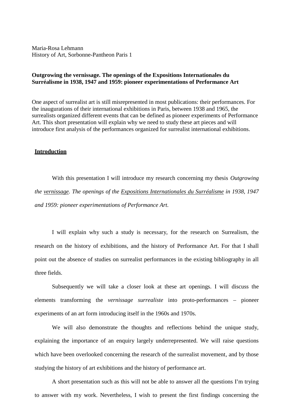Maria-Rosa Lehmann History of Art, Sorbonne-Pantheon Paris 1

### **Outgrowing the vernissage. The openings of the Expositions Internationales du Surréalisme in 1938, 1947 and 1959: pioneer experimentations of Performance Art**

One aspect of surrealist art is still misrepresented in most publications: their performances. For the inaugurations of their international exhibitions in Paris, between 1938 and 1965, the surrealists organized different events that can be defined as pioneer experiments of Performance Art. This short presentation will explain why we need to study these art pieces and will introduce first analysis of the performances organized for surrealist international exhibitions.

#### **Introduction**

With this presentation I will introduce my research concerning my thesis *Outgrowing the vernissage. The openings of the Expositions Internationales du Surréalisme in 1938, 1947 and 1959: pioneer experimentations of Performance Art.*

I will explain why such a study is necessary, for the research on Surrealism, the research on the history of exhibitions, and the history of Performance Art. For that I shall point out the absence of studies on surrealist performances in the existing bibliography in all three fields.

Subsequently we will take a closer look at these art openings. I will discuss the elements transforming the *vernissage surrealiste* into proto-performances – pioneer experiments of an art form introducing itself in the 1960s and 1970s.

We will also demonstrate the thoughts and reflections behind the unique study, explaining the importance of an enquiry largely underrepresented. We will raise questions which have been overlooked concerning the research of the surrealist movement, and by those studying the history of art exhibitions and the history of performance art.

A short presentation such as this will not be able to answer all the questions I'm trying to answer with my work. Nevertheless, I wish to present the first findings concerning the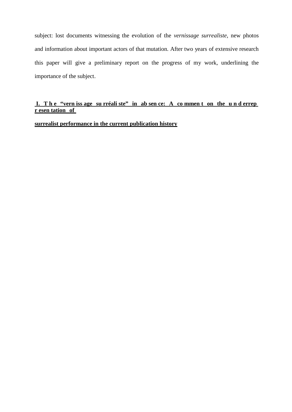subject: lost documents witnessing the evolution of the *vernissage surrealiste*, new photos and information about important actors of that mutation. After two years of extensive research this paper will give a preliminary report on the progress of my work, underlining the importance of the subject.

## **I. T h e "vern iss age su rréali ste" in ab sen ce: A co mmen t on the u n d errep r esen tation of**

## **surrealist performance in the current publication history**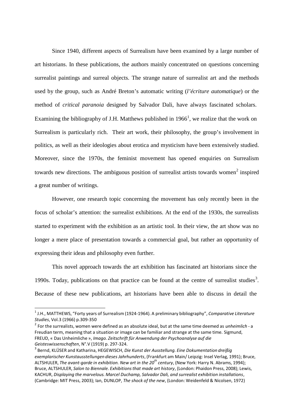Since 1940, different aspects of Surrealism have been examined by a large number of art historians. In these publications, the authors mainly concentrated on questions concerning surrealist paintings and surreal objects. The strange nature of surrealist art and the methods used by the group, such as André Breton's automatic writing (*l'écriture automatique*) or the method of *critical paranoia* designed by Salvador Dali, have always fascinated scholars. Examining the bibliography of J.H. Matthews published in  $1966<sup>1</sup>$ , we realize that the work on Surrealism is particularly rich. Their art work, their philosophy, the group's involvement in politics, as well as their ideologies about erotica and mysticism have been extensively studied. Moreover, since the 1970s, the feminist movement has opened enquiries on Surrealism towards new directions. The ambiguous position of surrealist artists towards women<sup>2</sup> inspired a great number of writings.

However, one research topic concerning the movement has only recently been in the focus of scholar's attention: the surrealist exhibitions. At the end of the 1930s, the surrealists started to experiment with the exhibition as an artistic tool. In their view, the art show was no longer a mere place of presentation towards a commercial goal, but rather an opportunity of expressing their ideas and philosophy even further.

This novel approach towards the art exhibition has fascinated art historians since the 1990s. Today, publications on that practice can be found at the centre of surrealist studies<sup>3</sup>. Because of these new publications, art historians have been able to discuss in detail the

<sup>1</sup> J.H., MATTHEWS, "Forty years of Surrealism (1924-1964). A preliminary bibliography", *Comparative Literature Studies*, Vol.3 (1966) p.309-350

<sup>2</sup> For the surrealists, women were defined as an absolute ideal, but at the same time deemed as *unheimlich -* a Freudian term, meaning that a situation or image can be familiar and strange at the same time. Sigmund, FREUD, « Das Unheimliche », *Imago. Zeitschrift für Anwendung der Psychoanalyse auf die Geisteswissenschaften*, N°.V (1919) p. 297-324.

<sup>3</sup> Bernd, KLÜSER and Katharina, HEGEWISCH, *Die Kunst der Ausstellung. Eine Dokumentation dreißig exemplarischer Kunstausstellungen dieses Jahrhunderts*, (Frankfurt am Main/ Leipzig: Insel Verlag, 1991); Bruce, ALTSHULER, *The avant-garde in exhibition. New art in the 20 th century*, (New York: Harry N. Abrams, 1994); Bruce, ALTSHULER, *Salon to Biennale. Exhibitionsthat made art history*, (London: Phaidon Press, 2008); Lewis, KACHUR, *Displaying the marvelous. Marcel Duchamp, Salvador Dali, and surrealist exhibition installations*, (Cambridge: MIT Press, 2003); Ian, DUNLOP, *The shock of the new*, (London: Weidenfeld & Nicolsen, 1972)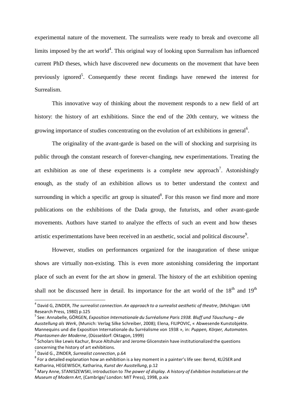experimental nature of the movement. The surrealists were ready to break and overcome all limits imposed by the art world<sup>4</sup>. This original way of looking upon Surrealism has influenced current PhD theses, which have discovered new documents on the movement that have been previously ignored<sup>5</sup>. Consequently these recent findings have renewed the interest for Surrealism.

This innovative way of thinking about the movement responds to a new field of art history: the history of art exhibitions. Since the end of the 20th century, we witness the growing importance of studies concentrating on the evolution of art exhibitions in general<sup>6</sup>.

The originality of the avant-garde is based on the will of shocking and surprising its public through the constant research of forever-changing, new experimentations. Treating the art exhibition as one of these experiments is a complete new approach<sup>7</sup>. Astonishingly enough, as the study of an exhibition allows us to better understand the context and surrounding in which a specific art group is situated $8$ . For this reason we find more and more publications on the exhibitions of the Dada group, the futurists, and other avant-garde movements. Authors have started to analyze the effects of such an event and how theses artistic experimentations have been received in an aesthetic, social and political discourse<sup>9</sup>.

However, studies on performances organized for the inauguration of these unique shows are virtually non-existing. This is even more astonishing considering the important place of such an event for the art show in general. The history of the art exhibition opening shall not be discussed here in detail. Its importance for the art world of the  $18<sup>th</sup>$  and  $19<sup>th</sup>$ 

<sup>4</sup> David G, ZINDER, *The surrealist connection. An approach to a surrealist aesthetic of theatre*, (Michigan: UMI Research Press, 1980) p.125<br><sup>5</sup> See: Annabelle, GÖRGEN, *Exposition Internationale du Surréalisme Paris 1938. Bluff und Täuschung – die* 

*Ausstellung als Werk*, (Munich: Verlag Silke Schreiber, 2008); Elena, FILIPOVIC, « Abwesende Kunstobjekte. Mannequins und die Exposition Internationale du Surréalisme von 1938 », in: *Puppen, Körper, Automaten. Phantasmen der Moderne,* (Düsseldorf: Oktagon, 1999)<br><sup>6</sup> Scholars like Lewis Kachur, Bruce Altshuler and Jerome Glicenstein have institutionalized the questions

concerning the history of art exhibitions. <sup>7</sup> David G., ZINDER, *Surrealist connection*, p.64 <sup>8</sup>

 $^8$  For a detailed explanation how an exhibition is a key moment in a painter's life see: Bernd, KLÜSER and Katharina, HEGEWISCH, Katharina, *Kunst der Ausstellung*, p.12

<sup>9</sup> Mary Anne, STANISZEWSKI, introduction to *The power of display. A history of Exhibition Installations at the Museum of Modern Art*, (Cambrige/ London: MIT Press), 1998, p.xix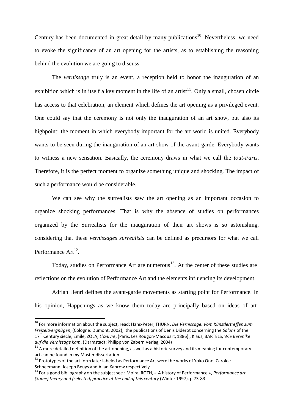Century has been documented in great detail by many publications<sup>10</sup>. Nevertheless, we need to evoke the significance of an art opening for the artists, as to establishing the reasoning behind the evolution we are going to discuss.

The *vernissage* truly is an event, a reception held to honor the inauguration of an exhibition which is in itself a key moment in the life of an artist $^{11}$ . Only a small, chosen circle has access to that celebration, an element which defines the art opening as a privileged event. One could say that the ceremony is not only the inauguration of an art show, but also its highpoint: the moment in which everybody important for the art world is united. Everybody wants to be seen during the inauguration of an art show of the avant-garde. Everybody wants to witness a new sensation. Basically, the ceremony draws in what we call the *tout-Paris*. Therefore, it is the perfect moment to organize something unique and shocking. The impact of such a performance would be considerable.

We can see why the surrealists saw the art opening as an important occasion to organize shocking performances. That is why the absence of studies on performances organized by the Surrealists for the inauguration of their art shows is so astonishing, considering that these *vernissages surrealists* can be defined as precursors for what we call Performance Art<sup>12</sup>.

Today, studies on Performance Art are numerous<sup>13</sup>. At the center of these studies are reflections on the evolution of Performance Art and the elements influencing its development.

Adrian Henri defines the avant-garde movements as starting point for Performance. In his opinion, Happenings as we know them today are principally based on ideas of art

<sup>10</sup> For more information about the subject, read: Hans-Peter, THURN, *Die Vernissage. Vom Künstlertreffen zum Freizeitvergnügen*, (Cologne: Dumont, 2002), the publications of Denis Diderot concerning the *Salons* of the 17th Century siècle, Emile, ZOLA, *L'œuvre*, (Paris: Les Rougon-Macquart, 1886) ; Klaus, BARTELS, *Wie Berenike auf die Vernissage kam*, (Darmstadt: Philipp von Zabern Verlag, 2004)

 $11$  A more detailed definition of the art opening, as well as a historic survey and its meaning for contemporary art can be found in my Master dissertation.

 $12$  Prototypes of the art form later labeled as Performance Art were the works of Yoko Ono, Carolee Schneemann, Joseph Beuys and Allan Kaprow respectively.

<sup>13</sup> For a good bibliography on the subject see : Moira, ROTH, « A history of Performance », *Performance art. (Some) theory and (selected) practice at the end of this century* (Winter 1997), p.73-83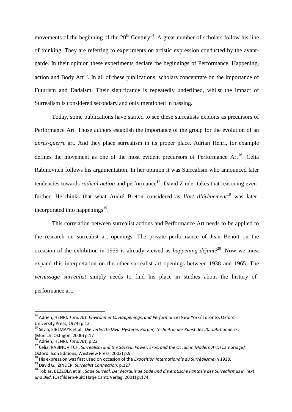movements of the beginning of the  $20<sup>th</sup>$  Century<sup>14</sup>. A great number of scholars follow his line of thinking. They are referring to experiments on artistic expression conducted by the avantgarde. In their opinion these experiments declare the beginnings of Performance, Happening, action and Body Art *<sup>15</sup>*. In all of these publications, scholars concentrate on the importance of Futurism and Dadaism. Their significance is repeatedly underlined, whilst the impact of Surrealism is considered secondary and only mentioned in passing.

Today, some publications have started to see these surrealists exploits as precursors of Performance Art. Those authors establish the importance of the group for the evolution of an *après-guerre* art. And they place surrealism in its proper place. Adrian Henri, for example defines the movement as one of the most evident precursors of Performance Art<sup>16</sup>. Celia Rabinovitch follows his argumentation. In her opinion it was Surrealism who announced later tendencies towards *radical action* and performance 17 . David Zinder takes that reasoning even further. He thinks that what André Breton considered as *l'art d'évènement*<sup>18</sup> was later incorporated into happenings 19.

This correlation between surrealist actions and Performance Art needs to be applied to the research on surrealist art openings. The private performance of Jean Benoit on the occasion of the exhibition in 1959 is already viewed as *happening déjanté* 20. Now we must expand this interpretation on the other surrealist art openings between 1938 and 1965. The *vernissage surrealist* simply needs to find his place in studies about the history of performance art.

<sup>14</sup> Adrien, HENRI, *Total Art. Environments, Happenings, and Performance* (New York/ Toronto: Oxford University Press, 1974) p.13

<sup>15</sup> Silvia, EIBLMAYR et al., *Die verletzte Diva. Hysterie, Körper, Technik in der Kunst des 20. Jahrhunderts*, (Munich: Oktagon, 2000) p.17 <sup>16</sup> Adrien, HENRI, *Total Art*, p.22

<sup>17</sup> Celia, RABINOVITCH, *Surrealism and the Sacred. Power, Eros, and the Occult in Modern Art*, (Cambridge/

<sup>&</sup>lt;sup>18</sup> His expression was first used on occasion of the *Exposition Internationale du Surréalisme* in 1938.

<sup>19</sup> David G., ZINDER, *Surrealist Connection*, p.127

<sup>20</sup> Tobias, BEZZOLA et al., *Sade Surreal. Der Marquis de Sade und die erotische Fantasie des Surrealismusin Text und Bild*, (Ostfildern-Ruit: Hatje Cantz Verlag, 2001) p.174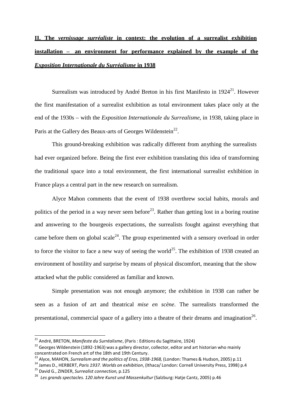# **II. The** *vernissage surréaliste* **in context: the evolution of a surrealist exhibition installation – an environment for performance explained by the example of the** *Exposition Internationale du Surréalisme* **in 1938**

Surrealism was introduced by André Breton in his first Manifesto in  $1924^{21}$ . However the first manifestation of a surrealist exhibition as total environment takes place only at the end of the 1930s – with the *Exposition Internationale du Surrealisme*, in 1938, taking place in Paris at the Gallery des Beaux-arts of Georges Wildenstein<sup>22</sup>.

This ground-breaking exhibition was radically different from anything the surrealists had ever organized before. Being the first ever exhibition translating this idea of transforming the traditional space into a total environment, the first international surrealist exhibition in France plays a central part in the new research on surrealism.

Alyce Mahon comments that the event of 1938 overthrew social habits, morals and politics of the period in a way never seen before<sup>23</sup>. Rather than getting lost in a boring routine and answering to the bourgeois expectations, the surrealists fought against everything that came before them on global scale<sup>24</sup>. The group experimented with a sensory overload in order to force the visitor to face a new way of seeing the world<sup>25</sup>. The exhibition of 1938 created an environment of hostility and surprise by means of physical discomfort, meaning that the show attacked what the public considered as familiar and known.

Simple presentation was not enough anymore; the exhibition in 1938 can rather be seen as a fusion of art and theatrical *mise en scène*. The surrealists transformed the presentational, commercial space of a gallery into a theatre of their dreams and imagination<sup>26</sup>.

<sup>21</sup> André, BRETON, *Manifeste du Surréalisme*, (Paris : Editions du Sagittaire, 1924)

<sup>&</sup>lt;sup>22</sup> Georges Wildenstein (1892-1963) was a gallery director, collector, editor and art historian who mainly concentrated on French art of the 18th and 19th Century.<br><sup>23</sup> Alyce, MAHON, *Surrealism and the politics of Eros, 1938-1968,* (London: Thames & Hudson, 2005) p.11

<sup>24</sup> James D., HERBERT, *Paris 1937. Worlds on exhibition*, (Ithaca/ London: Cornell University Press, 1998) p.4

<sup>25</sup> David G., ZINDER, *Surrealist connection,* p.125

<sup>26</sup>*Les grands spectacles. 120 Jahre Kunst und Massenkultur* (Salzburg: Hatje Cantz, 2005) p.46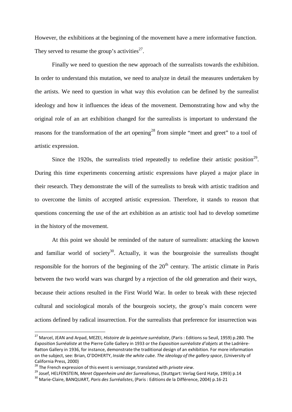However, the exhibitions at the beginning of the movement have a mere informative function. They served to resume the group's activities<sup>27</sup>.

Finally we need to question the new approach of the surrealists towards the exhibition. In order to understand this mutation, we need to analyze in detail the measures undertaken by the artists. We need to question in what way this evolution can be defined by the surrealist ideology and how it influences the ideas of the movement. Demonstrating how and why the original role of an art exhibition changed for the surrealists is important to understand the reasons for the transformation of the art opening<sup>28</sup> from simple "meet and greet" to a tool of artistic expression.

Since the 1920s, the surrealists tried repeatedly to redefine their artistic position<sup>29</sup>. During this time experiments concerning artistic expressions have played a major place in their research. They demonstrate the will of the surrealists to break with artistic tradition and to overcome the limits of accepted artistic expression. Therefore, it stands to reason that questions concerning the use of the art exhibition as an artistic tool had to develop sometime in the history of the movement.

At this point we should be reminded of the nature of surrealism: attacking the known and familiar world of society<sup>30</sup>. Actually, it was the bourgeoisie the surrealists thought responsible for the horrors of the beginning of the  $20<sup>th</sup>$  century. The artistic climate in Paris between the two world wars was charged by a rejection of the old generation and their ways, because their actions resulted in the First World War. In order to break with these rejected cultural and sociological morals of the bourgeois society, the group's main concern were actions defined by radical insurrection. For the surrealists that preference for insurrection was

<sup>27</sup> Marcel, JEAN and Arpad, MEZEI, *Histoire de la peinture surréaliste*, (Paris : Editions su Seuil, 1959) p.280. The *Exposition Surréaliste* at the Pierre Colle Gallery in 1933 or the *Exposition surréaliste d'objets* at the Ladrière-Ratton Gallery in 1936, for instance, demonstrate the traditional design of an exhibition. For more information on the subject, see: Brian, O'DOHERTY, *Inside the white cube. The ideology of the gallery space*, (University of California Press, 2000)<br><sup>28</sup> The French expression of this event is *vernissage,* translated with *private view*.<br><sup>29</sup> Josef, HELFENSTEIN, *Meret Oppenheim und der Surrealismus*, (Stuttgart: Verlag Gerd Hatje, 1993) p.14

<sup>30</sup> Marie-Claire, BANQUART*, Paris des Surréalistes*, (Paris : Editions de la Différence, 2004) p.16-21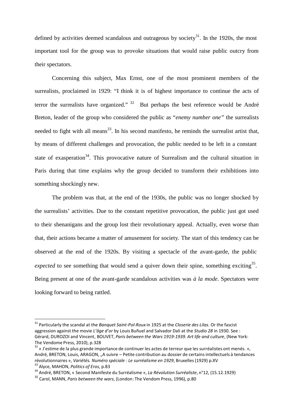defined by activities deemed scandalous and outrageous by society<sup>31</sup>. In the 1920s, the most important tool for the group was to provoke situations that would raise public outcry from their spectators.

Concerning this subject, Max Ernst, one of the most prominent members of the surrealists, proclaimed in 1929: "I think it is of highest importance to continue the acts of terror the surrealists have organized."  $32$  But perhaps the best reference would be André Breton, leader of the group who considered the public as "*enemy number one"* the surrealists needed to fight with all means<sup>33</sup>. In his second manifesto, he reminds the surrealist artist that, by means of different challenges and provocation, the public needed to be left in a constant state of exasperation<sup>34</sup>. This provocative nature of Surrealism and the cultural situation in Paris during that time explains why the group decided to transform their exhibitions into something shockingly new.

The problem was that, at the end of the 1930s, the public was no longer shocked by the surrealists' activities. Due to the constant repetitive provocation, the public just got used to their shenanigans and the group lost their revolutionary appeal. Actually, even worse than that, their actions became a matter of amusement for society. The start of this tendency can be observed at the end of the 1920s. By visiting a spectacle of the avant-garde, the public expected to see something that would send a quiver down their spine, something exciting<sup>35</sup>. Being present at one of the avant-garde scandalous activities was *à la mode*. Spectators were looking forward to being rattled.

<sup>31</sup> Particularly the scandal at the *Banquet Saint-Pol-Roux* in 1925 at the *Closerie des Lilas*. Or the fascist aggression against the movie *L'âge d'or* by Louis Buñuel and Salvador Dali at the *Studio 28* in 1930. See : Gérard, DUROZOI and Vincent, BOUVET, *Paris between the Wars 1919-1939. Art life and culture*, (New York: The Vendome Press, 2010), p.328

 $^{32}$  « J'estime de la plus grande importance de continuer les actes de terreur que les surréalistes ont menés. », André, BRETON, Louis, ARAGON, "A suivre – Petite contribution au dossier de certains intellectuels à tendances révolutionnaires », *Variétés. Numéro spéciale : Le surréalisme en 1929*, Bruxelles(1929) p.XV <sup>33</sup> Alyce, MAHON, *Politics of Eros*, p.83

<sup>34</sup> André, BRETON, « Second Manifeste du Surréalisme », *La Révolution Surréaliste*, n°12, (15.12.1929)

<sup>35</sup> Carol, MANN, *Paris between the wars*, (London: The Vendom Press, 1996), p.80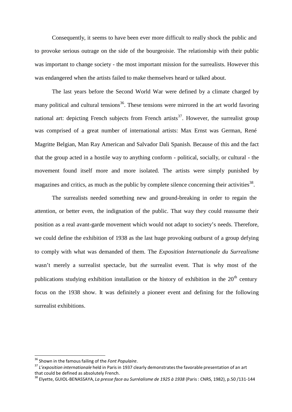Consequently, it seems to have been ever more difficult to really shock the public and to provoke serious outrage on the side of the bourgeoisie. The relationship with their public was important to change society - the most important mission for the surrealists. However this was endangered when the artists failed to make themselves heard or talked about.

The last years before the Second World War were defined by a climate charged by many political and cultural tensions<sup>36</sup>. These tensions were mirrored in the art world favoring national art: depicting French subjects from French artists<sup>37</sup>. However, the surrealist group was comprised of a great number of international artists: Max Ernst was German, René Magritte Belgian, Man Ray American and Salvador Dali Spanish. Because of this and the fact that the group acted in a hostile way to anything conform - political, socially, or cultural - the movement found itself more and more isolated. The artists were simply punished by magazines and critics, as much as the public by complete silence concerning their activities<sup>38</sup>.

The surrealists needed something new and ground-breaking in order to regain the attention, or better even, the indignation of the public. That way they could reassume their position as a real avant-garde movement which would not adapt to society's needs. Therefore, we could define the exhibition of 1938 as the last huge provoking outburst of a group defying to comply with what was demanded of them. The *Exposition Internationale du Surrealisme*  wasn't merely a surrealist spectacle, but *the* surrealist event. That is why most of the publications studying exhibition installation or the history of exhibition in the 20<sup>th</sup> century focus on the 1938 show. It was definitely a pioneer event and defining for the following surrealist exhibitions.

<sup>36</sup> Shown in the famousfailing of the *Font Populaire*.

<sup>37</sup> *L'exposition internationale* held in Paris in 1937 clearly demonstratesthe favorable presentation of an art that could be defined as absolutely French.

<sup>38</sup> Elyette, GUIOL-BENASSAYA, *La presse face au Surréalisme de 1925 à 1938* (Paris : CNRS, 1982), p.50 /131-144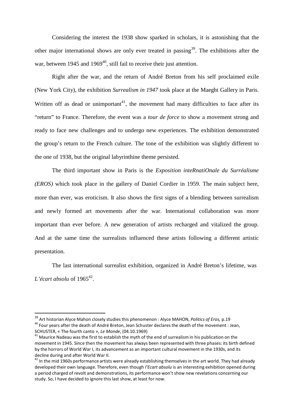Considering the interest the 1938 show sparked in scholars, it is astonishing that the other major international shows are only ever treated in passing<sup>39</sup>. The exhibitions after the war, between 1945 and 1969<sup>40</sup>, still fail to receive their just attention.

Right after the war, and the return of André Breton from his self proclaimed exile (New York City), the exhibition *Surrealism in 1947* took place at the Maeght Gallery in Paris. Written off as dead or unimportant<sup>41</sup>, the movement had many difficulties to face after its "return" to France. Therefore, the event was a *tour de force* to show a movement strong and ready to face new challenges and to undergo new experiences. The exhibition demonstrated the group's return to the French culture. The tone of the exhibition was slightly different to the one of 1938, but the original labyrinthine theme persisted.

The third important show in Paris is the *Exposition inteRnatiOnale du Surréalisme (EROS)* which took place in the gallery of Daniel Cordier in 1959. The main subject here, more than ever, was eroticism. It also shows the first signs of a blending between surrealism and newly formed art movements after the war. International collaboration was more important than ever before. A new generation of artists recharged and vitalized the group. And at the same time the surrealists influenced these artists following a different artistic presentation.

The last international surrealist exhibition, organized in André Breton's lifetime, was *L'écart absolu* of  $1965^{42}$ .

<sup>39</sup> Art historian Alyce Mahon closely studies this phenomenon : Alyce MAHON, *Politics of Eros,* p.19

 $^{40}$  Four years after the death of André Breton, Jean Schuster declares the death of the movement : Jean,

SCHUSTER, « The fourth canto », *Le Monde*, (04.10.1969)<br><sup>41</sup> Maurice Nadeau was the first to establish the myth of the end of surrealism in his publication on the movement in 1945. Since then the movement has always been represented with three phases: its birth defined by the horrors of World War I, its advancement as an important cultural movement in the 1930s, and its decline during and after World War II.<br><sup>42</sup> In the mid 1960s performance artists were already establishing themselves in the art world. They had already

developed their own language. Therefore, even though *l'Ecart absolu* is an interesting exhibition opened during a period charged of revolt and demonstrations, its performance won't show new revelations concerning our study. So, I have decided to ignore this last show, at least for now.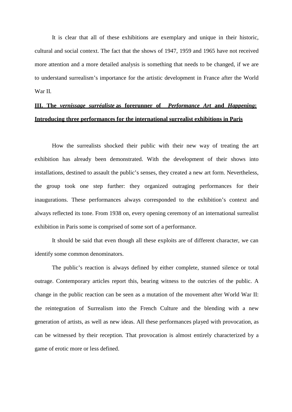It is clear that all of these exhibitions are exemplary and unique in their historic, cultural and social context. The fact that the shows of 1947, 1959 and 1965 have not received more attention and a more detailed analysis is something that needs to be changed, if we are to understand surrealism's importance for the artistic development in France after the World War II.

# **III. The** *vernissage surréaliste* **as forerunner of** *Performance Art* **and** *Happening***: Introducing three performances for the international surrealist exhibitions in Paris**

How the surrealists shocked their public with their new way of treating the art exhibition has already been demonstrated. With the development of their shows into installations, destined to assault the public's senses, they created a new art form. Nevertheless, the group took one step further: they organized outraging performances for their inaugurations. These performances always corresponded to the exhibition's context and always reflected its tone. From 1938 on, every opening ceremony of an international surrealist exhibition in Paris some is comprised of some sort of a performance.

It should be said that even though all these exploits are of different character, we can identify some common denominators.

The public's reaction is always defined by either complete, stunned silence or total outrage. Contemporary articles report this, bearing witness to the outcries of the public. A change in the public reaction can be seen as a mutation of the movement after World War II: the reintegration of Surrealism into the French Culture and the blending with a new generation of artists, as well as new ideas. All these performances played with provocation, as can be witnessed by their reception. That provocation is almost entirely characterized by a game of erotic more or less defined.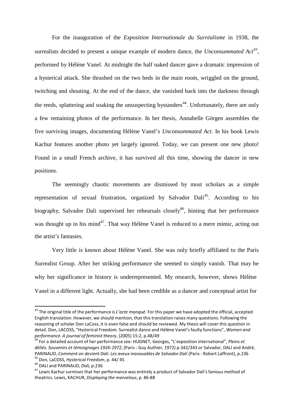For the inauguration of the *Exposition Internationale du Surréalisme* in 1938, the surrealists decided to present a unique example of modern dance, the *Unconsummated Act 43,*  performed by Hélène Vanel. At midnight the half naked dancer gave a dramatic impression of a hysterical attack. She thrashed on the two beds in the main room, wriggled on the ground, twitching and shouting. At the end of the dance, she vanished back into the darkness through the reeds, splattering and soaking the unsuspecting bystanders<sup>44</sup>. Unfortunately, there are only a few remaining photos of the performance. In her thesis, Annabelle Görgen assembles the five surviving images, documenting Hélène Vanel's *Unconsommated Act*. In his book Lewis Kachur features another photo yet largely ignored. Today, we can present one new photo! Found in a small French archive, it has survived all this time, showing the dancer in new positions.

The seemingly chaotic movements are dismissed by most scholars as a simple representation of sexual frustration, organized by Salvador Dali<sup>45</sup>. According to his biography, Salvador Dali supervised her rehearsals closely<sup>46</sup>, hinting that her performance was thought up in his mind<sup>47</sup>. That way Hélène Vanel is reduced to a mere mimic, acting out the artist's fantasies.

Very little is known about Hélène Vanel. She was only briefly affiliated to the Paris Surrealist Group. After her striking performance she seemed to simply vanish. That may be why her significance in history is underrepresented. My research, however, shows Hélène Vanel in a different light. Actually, she had been credible as a dancer and conceptual artist for

<sup>43</sup> The original title of the performance is *L'acte manqué*. For this paper we have adopted the official, accepted English translation. However, we should mention, that this translation raises many questions. Following the reasoning of scholar Don LaCoss, it is even false and should be reviewed. My thesis will cover this question in detail. Don, LACOSS, "Hysterical Freedom. Surrealist dance and Hélène Vanel's faulty functions", *Women and*  performance. A journal of feminist theory, (2005) 15:2, p.48/49<br><sup>44</sup> For a detailed account of her performance see: HUGNET, Georges, "L'exposition international", *Pleins et* 

*déliés. Souvenirs et témoignages 1926-1972*, (Paris : Guy Authier, 1972) p.342/343 or Salvador, DALI and André, PARINAUD, Comment on devient Dali. Les aveux inavouables de Salvador Dali (Paris : Robert Laffront), p.236<br><sup>45</sup> Don, LaCOSS, Hysterical Freedom, p. 44/ 45<br><sup>46</sup> DALI and PARINAUD, *Dali, p.236* 

<sup>&</sup>lt;sup>47</sup> Lewis Kachur surmises that her performance was entirely a product of Salvador Dali's famous method of theatrics. Lewis, KACHUR, *Displaying the marvelous*, p. 86-88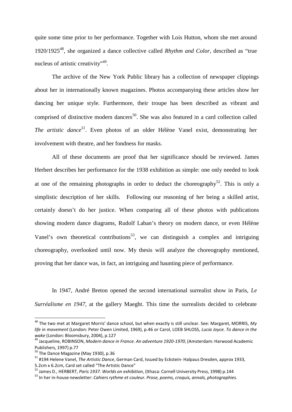quite some time prior to her performance. Together with Lois Hutton, whom she met around 1920/192548, she organized a dance collective called *Rhythm and Color*, described as "true nucleus of artistic creativity"<sup>49</sup>.

The archive of the New York Public library has a collection of newspaper clippings about her in internationally known magazines. Photos accompanying these articles show her dancing her unique style. Furthermore, their troupe has been described as vibrant and comprised of distinctive modern dancers<sup>50</sup>. She was also featured in a card collection called *The artistic dance <sup>51</sup>*. Even photos of an older Hélène Vanel exist, demonstrating her involvement with theatre, and her fondness for masks.

All of these documents are proof that her significance should be reviewed. James Herbert describes her performance for the 1938 exhibition as simple: one only needed to look at one of the remaining photographs in order to deduct the choreography<sup>52</sup>. This is only a simplistic description of her skills. Following our reasoning of her being a skilled artist, certainly doesn't do her justice. When comparing all of these photos with publications showing modern dance diagrams, Rudolf Laban's theory on modern dance, or even Hélène Vanel's own theoretical contributions<sup>53</sup>, we can distinguish a complex and intriguing choreography, overlooked until now. My thesis will analyze the choreography mentioned, proving that her dance was, in fact, an intriguing and haunting piece of performance.

In 1947, André Breton opened the second international surrealist show in Paris, *Le Surréalisme en 1947*, at the gallery Maeght. This time the surrealists decided to celebrate

<sup>48</sup> The two met at Margaret Morris' dance school, but when exactly is still unclear. See: Margaret, MORRIS, *My life in movement* (London: Peter Owen Limited, 1969), p.46 or Carol, LOEB SHLOSS, *Lucia Joyce. To dance in the* 

*wake* (London: Bloomsbury, 2004), p.127<br><sup>49</sup> Jacqueline, ROBINSON, *Modern dance in France. An adventure 1920-1970,* (Amsterdam: Harwood Academic<br>Publishers, 1997) p.77

 $50$  The Dance Magazine (May 1930), p.36

<sup>#194</sup> Helene Vanel, *The Artistic Dance*, German Card, Issued by Eckstein- Halpaus Dresden, approx 1933,

<sup>5.2</sup>cm x 6.2cm, Card set called "The Artistic Dance"<br><sup>52</sup> James D., HERBERT, *Paris 1937. Worlds on exhibition,* (Ithaca: Cornell University Press, 1998) p.144

<sup>53</sup> In her in-house newsletter: *Cahiers rythme et couleur. Prose, poems, croquis, annals, photographies*.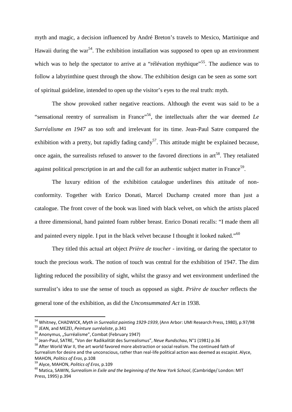myth and magic, a decision influenced by André Breton's travels to Mexico, Martinique and Hawaii during the war<sup>54</sup>. The exhibition installation was supposed to open up an environment which was to help the spectator to arrive at a "rélévation mythique"<sup>55</sup>. The audience was to follow a labyrinthine quest through the show. The exhibition design can be seen as some sort of spiritual guideline, intended to open up the visitor's eyes to the real truth: myth.

The show provoked rather negative reactions. Although the event was said to be a "sensational reentry of surrealism in France"<sup>56</sup>, the intellectuals after the war deemed  $Le$ *Surréalisme en 1947* as too soft and irrelevant for its time. Jean-Paul Satre compared the exhibition with a pretty, but rapidly fading candy<sup>57</sup>. This attitude might be explained because, once again, the surrealists refused to answer to the favored directions in art<sup>58</sup>. They retaliated against political prescription in art and the call for an authentic subject matter in France<sup>59</sup>.

The luxury edition of the exhibition catalogue underlines this attitude of nonconformity. Together with Enrico Donati, Marcel Duchamp created more than just a catalogue. The front cover of the book was lined with black velvet, on which the artists placed a three dimensional, hand painted foam rubber breast. Enrico Donati recalls: "I made them all and painted every nipple. I put in the black velvet because I thought it looked naked."<sup>60</sup>

They titled this actual art object *Prière de toucher* - inviting, or daring the spectator to touch the precious work. The notion of touch was central for the exhibition of 1947. The dim lighting reduced the possibility of sight, whilst the grassy and wet environment underlined the surrealist's idea to use the sense of touch as opposed as sight. *Prière de toucher* reflects the general tone of the exhibition, as did the *Unconsummated Act* in 1938.

<sup>54</sup> Whitney, CHADWICK, *Myth in Surrealist painting 1929-1939*, (Ann Arbor: UMI Research Press, 1980), p.97/98

<sup>&</sup>lt;sup>56</sup> Anonymus, "Surréalisme", Combat (February 1947)<br><sup>57</sup> Jean-Paul, SATRE, "Von der Radikalität des Surrealismus", *Neue Rundschau*, N°1 (1981) p.36

<sup>&</sup>lt;sup>58</sup> After World War II, the art world favored more abstraction or social realism. The continued faith of Surrealism for desire and the unconscious, rather than real-life political action was deemed as escapist. Alyce, MAHON, *Politics of Eros*, p.108

<sup>59</sup> Alyce, MAHON, *Politics of Eros*, p.109

<sup>60</sup> Matica, SAWIN, *Surrealism in Exile and the beginning of the New York School*, (Cambridge/ London: MIT Press, 1995) p.394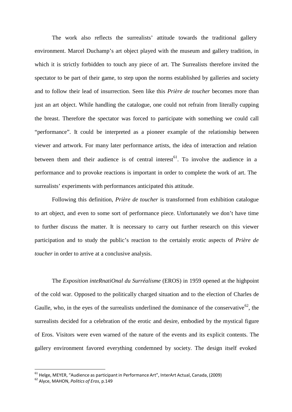The work also reflects the surrealists' attitude towards the traditional gallery environment. Marcel Duchamp's art object played with the museum and gallery tradition, in which it is strictly forbidden to touch any piece of art. The Surrealists therefore invited the spectator to be part of their game, to step upon the norms established by galleries and society and to follow their lead of insurrection. Seen like this *Prière de toucher* becomes more than just an art object. While handling the catalogue, one could not refrain from literally cupping the breast. Therefore the spectator was forced to participate with something we could call "performance". It could be interpreted as a pioneer example of the relationship between viewer and artwork. For many later performance artists, the idea of interaction and relation between them and their audience is of central interest<sup>61</sup>. To involve the audience in a performance and to provoke reactions is important in order to complete the work of art. The surrealists' experiments with performances anticipated this attitude.

Following this definition, *Prière de toucher* is transformed from exhibition catalogue to art object, and even to some sort of performance piece. Unfortunately we don't have time to further discuss the matter. It is necessary to carry out further research on this viewer participation and to study the public's reaction to the certainly erotic aspects of *Prière de toucher* in order to arrive at a conclusive analysis.

The *Exposition inteRnatiOnal du Surréalisme* (EROS) in 1959 opened at the highpoint of the cold war. Opposed to the politically charged situation and to the election of Charles de Gaulle, who, in the eyes of the surrealists underlined the dominance of the conservative<sup>62</sup>, the surrealists decided for a celebration of the erotic and desire, embodied by the mystical figure of Eros. Visitors were even warned of the nature of the events and its explicit contents. The gallery environment favored everything condemned by society. The design itself evoked

<sup>61</sup> Helge, MEYER, "Audience as participant in Performance Art", InterArt Actual, Canada, (2009)

<sup>62</sup> Alyce, MAHON, *Politics of Eros*, p.149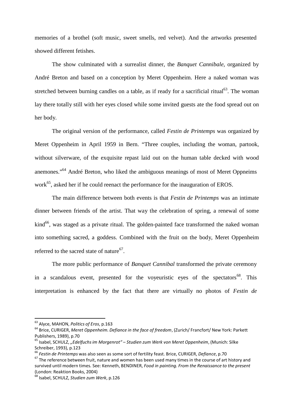memories of a brothel (soft music, sweet smells, red velvet). And the artworks presented showed different fetishes.

The show culminated with a surrealist dinner, the *Banquet Cannibale*, organized by André Breton and based on a conception by Meret Oppenheim. Here a naked woman was stretched between burning candles on a table, as if ready for a sacrificial ritual<sup>63</sup>. The woman lay there totally still with her eyes closed while some invited guests ate the food spread out on her body.

The original version of the performance, called *Festin de Printemps* was organized by Meret Oppenheim in April 1959 in Bern. "Three couples, including the woman, partook, without silverware, of the exquisite repast laid out on the human table decked with wood anemones."<sup>64</sup> André Breton, who liked the ambiguous meanings of most of Meret Oppneims work $^{65}$ , asked her if he could reenact the performance for the inauguration of EROS.

The main difference between both events is that *Festin de Printemps* was an intimate dinner between friends of the artist. That way the celebration of spring, a renewal of some  $\text{kind}^{66}$ , was staged as a private ritual. The golden-painted face transformed the naked woman into something sacred, a goddess. Combined with the fruit on the body, Meret Oppenheim referred to the sacred state of nature<sup>67</sup>.

The more public performance of *Banquet Cannibal* transformed the private ceremony in a scandalous event, presented for the voyeuristic eyes of the spectators<sup>68</sup>. This interpretation is enhanced by the fact that there are virtually no photos of *Festin de*

<sup>63</sup> Alyce, MAHON, *Politics of Eros*, p.163

<sup>64</sup> Brice, CURIGER, *Meret Oppenheim. Defiance in the face of freedom*, (Zurich/ Francfort/ New York: Parkett Publishers, 1989), p.70 <sup>65</sup>

Isabel, SCHULZ, *"Edelfuchsim Morgenrot" – Studien zum Werk von Meret Oppenheim*, (Munich: Silke

<sup>&</sup>lt;sup>66</sup> Festin de Printemps was also seen as some sort of fertility feast. Brice, CURIGER, *Defiance*, p.70

 $67$  The reference between fruit, nature and women has been used many times in the course of art history and survived until modern times. See: Kenneth, BENDINER, *Food in painting. From the Renaissance to the present* (London: Reaktion Books, 2004)

<sup>68</sup> Isabel, SCHULZ, *Studien zum Werk*, p.126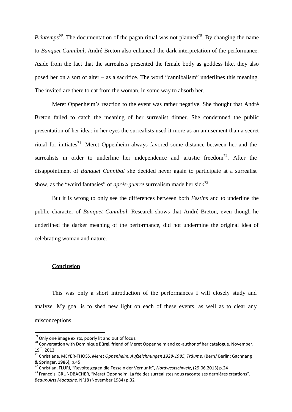*Printemps*<sup>69</sup>. The documentation of the pagan ritual was not planned<sup>70</sup>. By changing the name to *Banquet Cannibal*, André Breton also enhanced the dark interpretation of the performance. Aside from the fact that the surrealists presented the female body as goddess like, they also posed her on a sort of alter – as a sacrifice. The word "cannibalism" underlines this meaning. The invited are there to eat from the woman, in some way to absorb her.

Meret Oppenheim's reaction to the event was rather negative. She thought that André Breton failed to catch the meaning of her surrealist dinner. She condemned the public presentation of her idea: in her eyes the surrealists used it more as an amusement than a secret ritual for initiates<sup>71</sup>. Meret Oppenheim always favored some distance between her and the surrealists in order to underline her independence and artistic freedom<sup>72</sup>. After the disappointment of *Banquet Cannibal* she decided never again to participate at a surrealist show, as the "weird fantasies" of *après-guerre* surrealism made her sick<sup>73</sup>.

But it is wrong to only see the differences between both *Festins* and to underline the public character of *Banquet Cannibal*. Research shows that André Breton, even though he underlined the darker meaning of the performance, did not undermine the original idea of celebrating woman and nature.

#### **Conclusion**

This was only a short introduction of the performances I will closely study and analyze. My goal is to shed new light on each of these events, as well as to clear any misconceptions.

<sup>&</sup>lt;sup>69</sup> Only one image exists, poorly lit and out of focus.

 $^{70}$  Conversation with Dominique Bürgi, friend of Meret Oppenheim and co-author of her catalogue. November, 19th , 2013

<sup>71</sup> Christiane, MEYER-THOSS, *Meret Oppenheim. Aufzeichnungen 1928-1985, Träume*, (Bern/ Berlin: Gachnang & Springer, 1986), p.45<br><sup>72</sup> Christian, FLURI, "Revolte gegen die Fesseln der Vernunft", *Nordwestschweiz,* (29.06.2013) p.24

<sup>&</sup>lt;sup>73</sup> Francois, GRUNDBACHER, "Meret Oppnheim. La fée des surréalistes nous raconte ses dernières créations", *Beaux-Arts Magazine*, N°18 (November 1984) p.32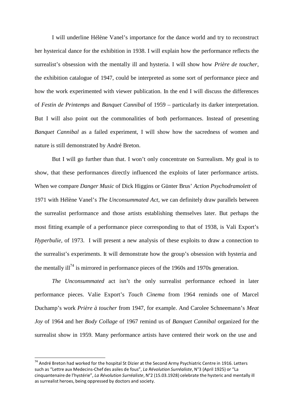I will underline Hélène Vanel's importance for the dance world and try to reconstruct her hysterical dance for the exhibition in 1938. I will explain how the performance reflects the surrealist's obsession with the mentally ill and hysteria. I will show how *Prière de toucher*, the exhibition catalogue of 1947, could be interpreted as some sort of performance piece and how the work experimented with viewer publication. In the end I will discuss the differences of *Festin de Printemps* and *Banquet Cannibal* of 1959 – particularly its darker interpretation. But I will also point out the commonalities of both performances. Instead of presenting *Banquet Cannibal* as a failed experiment, I will show how the sacredness of women and nature is still demonstrated by André Breton.

But I will go further than that. I won't only concentrate on Surrealism. My goal is to show, that these performances directly influenced the exploits of later performance artists. When we compare *Danger Music* of Dick Higgins or Günter Brus' *Action Psychodramolett* of 1971 with Hélène Vanel's *The Unconsummated Act*, we can definitely draw parallels between the surrealist performance and those artists establishing themselves later. But perhaps the most fitting example of a performance piece corresponding to that of 1938, is Vali Export's *Hyperbulie*, of 1973. I will present a new analysis of these exploits to draw a connection to the surrealist's experiments. It will demonstrate how the group's obsession with hysteria and the mentally ill<sup>74</sup> is mirrored in performance pieces of the 1960s and 1970s generation.

*The Unconsummated* act isn't the only surrealist performance echoed in later performance pieces. Valie Export's *Touch Cinema* from 1964 reminds one of Marcel Duchamp's work *Prière à toucher* from 1947, for example. And Carolee Schneemann's *Meat Joy* of 1964 and her *Body Collage* of 1967 remind us of *Banquet Cannibal* organized for the surrealist show in 1959. Many performance artists have centered their work on the use and

<sup>&</sup>lt;sup>74</sup> André Breton had worked for the hospital St Dizier at the Second Army Psychiatric Centre in 1916. Letters such as "Lettre aux Medecins-Chef des asiles de fous", *La Révolution Surréaliste*, N°3 (April 1925) or "La cinquantenaire de l'hystérie", *La Révolution Surréaliste*, N°2 (15.03.1928) celebrate the hysteric and mentally ill as surrealist heroes, being oppressed by doctors and society.